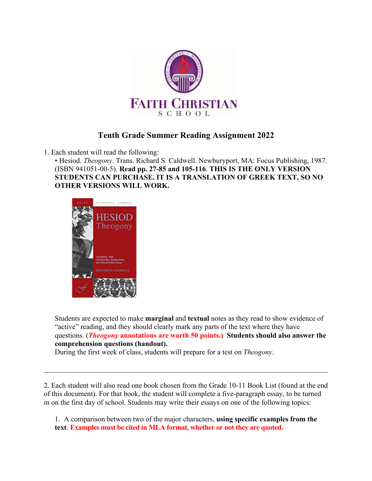

# **Tenth Grade Summer Reading Assignment 2022**

1. Each student will read the following:

• Hesiod. *Theogony*. Trans. Richard S. Caldwell. Newburyport, MA: Focus Publishing, 1987. (ISBN 941051-00-5). **Read pp. 27-85 and 105-116**. **THIS IS THE ONLY VERSION STUDENTS CAN PURCHASE. IT IS A TRANSLATION OF GREEK TEXT, SO NO OTHER VERSIONS WILL WORK.**



Students are expected to make **marginal** and **textual** notes as they read to show evidence of "active" reading, and they should clearly mark any parts of the text where they have questions. (*Theogony* **annotations are worth 50 points.) Students should also answer the comprehension questions (handout).**

During the first week of class, students will prepare for a test on *Theogony*.

2. Each student will also read one book chosen from the Grade 10-11 Book List (found at the end of this document). For that book, the student will complete a five-paragraph essay, to be turned in on the first day of school. Students may write their essays on one of the following topics:

1. A comparison between two of the major characters, **using specific examples from the text**. **Examples must be cited in MLA format, whether or not they are quoted.**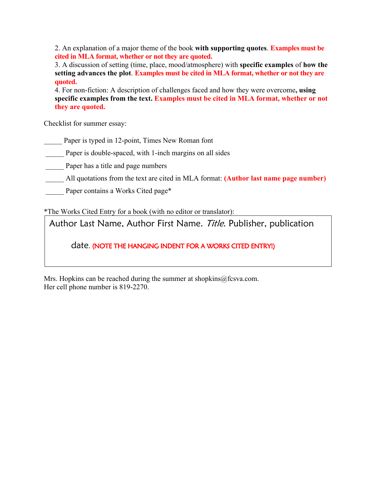2. An explanation of a major theme of the book **with supporting quotes**. **Examples must be cited in MLA format, whether or not they are quoted.**

3. A discussion of setting (time, place, mood/atmosphere) with **specific examples** of **how the setting advances the plot**. **Examples must be cited in MLA format, whether or not they are quoted.**

4. For non-fiction: A description of challenges faced and how they were overcome**, using specific examples from the text. Examples must be cited in MLA format, whether or not they are quoted.**

Checklist for summer essay:

Paper is typed in 12-point, Times New Roman font

Paper is double-spaced, with 1-inch margins on all sides

Paper has a title and page numbers

All quotations from the text are cited in MLA format: **(Author last name page number)** 

Paper contains a Works Cited page\*

\*The Works Cited Entry for a book (with no editor or translator):

Author Last Name, Author First Name. Title. Publisher, publication

date. (NOTE THE HANGING INDENT FOR A WORKS CITED ENTRY!)

Mrs. Hopkins can be reached during the summer at shopkins $@$ fcsva.com. Her cell phone number is 819-2270.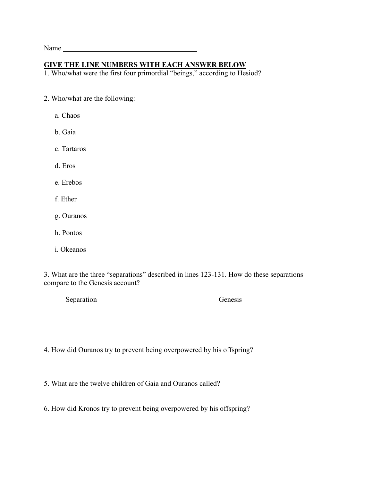Name

### **GIVE THE LINE NUMBERS WITH EACH ANSWER BELOW**

1. Who/what were the first four primordial "beings," according to Hesiod?

- 2. Who/what are the following:
	- a. Chaos
	- b. Gaia
	- c. Tartaros
	- d. Eros
	- e. Erebos
	- f. Ether
	- g. Ouranos
	- h. Pontos
	- i. Okeanos

3. What are the three "separations" described in lines 123-131. How do these separations compare to the Genesis account?

Separation Genesis

4. How did Ouranos try to prevent being overpowered by his offspring?

5. What are the twelve children of Gaia and Ouranos called?

6. How did Kronos try to prevent being overpowered by his offspring?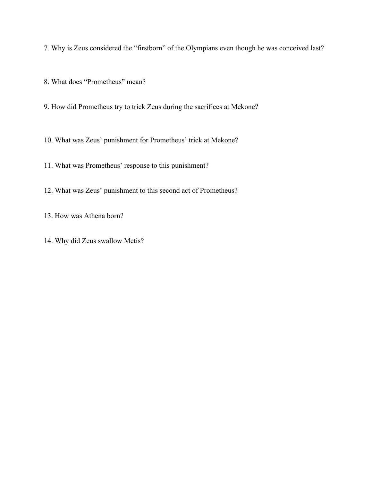7. Why is Zeus considered the "firstborn" of the Olympians even though he was conceived last?

8. What does "Prometheus" mean?

9. How did Prometheus try to trick Zeus during the sacrifices at Mekone?

10. What was Zeus' punishment for Prometheus' trick at Mekone?

11. What was Prometheus' response to this punishment?

12. What was Zeus' punishment to this second act of Prometheus?

13. How was Athena born?

14. Why did Zeus swallow Metis?